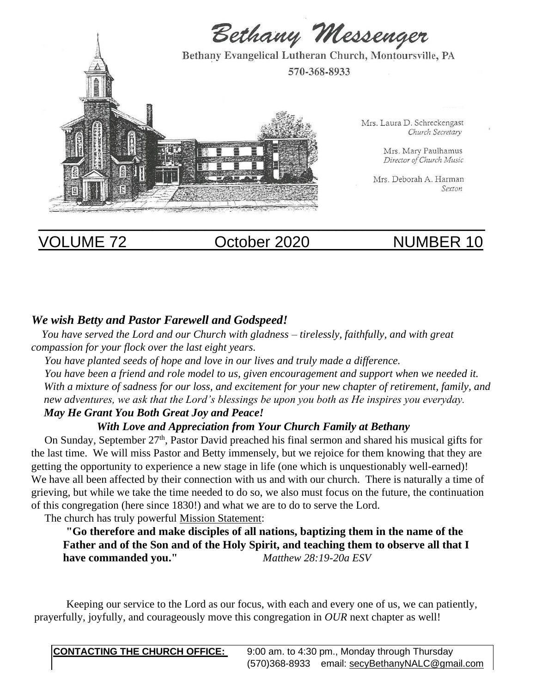

# VOLUME 72 October 2020 NUMBER 10

# *We wish Betty and Pastor Farewell and Godspeed!*

 *You have served the Lord and our Church with gladness – tirelessly, faithfully, and with great compassion for your flock over the last eight years.* 

 *You have planted seeds of hope and love in our lives and truly made a difference.* 

 *You have been a friend and role model to us, given encouragement and support when we needed it. With a mixture of sadness for our loss, and excitement for your new chapter of retirement, family, and new adventures, we ask that the Lord's blessings be upon you both as He inspires you everyday.* 

# *May He Grant You Both Great Joy and Peace!*

# *With Love and Appreciation from Your Church Family at Bethany*

On Sunday, September 27<sup>th</sup>, Pastor David preached his final sermon and shared his musical gifts for the last time. We will miss Pastor and Betty immensely, but we rejoice for them knowing that they are getting the opportunity to experience a new stage in life (one which is unquestionably well-earned)! We have all been affected by their connection with us and with our church. There is naturally a time of grieving, but while we take the time needed to do so, we also must focus on the future, the continuation of this congregation (here since 1830!) and what we are to do to serve the Lord.

The church has truly powerful Mission Statement:

**"Go therefore and make disciples of all nations, baptizing them in the name of the Father and of the Son and of the Holy Spirit, and teaching them to observe all that I have commanded you."** *Matthew 28:19-20a ESV*

 Keeping our service to the Lord as our focus, with each and every one of us, we can patiently, prayerfully, joyfully, and courageously move this congregation in *OUR* next chapter as well!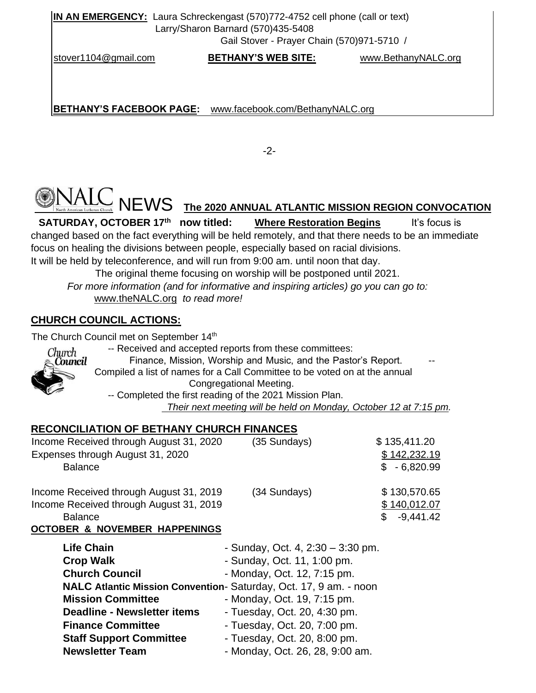**IN AN EMERGENCY:** Laura Schreckengast (570)772-4752 cell phone (call or text) Larry/Sharon Barnard (570)435-5408

Gail Stover - Prayer Chain (570)971-5710 /

stover1104@gmail.com **BETHANY'S WEB SITE:** www.BethanyNALC.org

**BETHANY'S FACEBOOK PAGE:** www.facebook.com/BethanyNALC.org

-2-

# $\leq$  NEWS <u>the 2020 annual atlantic mission region convocation</u>

**SATURDAY, OCTOBER 17th Where Restoration Begins** It's focus is changed based on the fact everything will be held remotely, and that there needs to be an immediate focus on healing the divisions between people, especially based on racial divisions. It will be held by teleconference, and will run from 9:00 am. until noon that day.

The original theme focusing on worship will be postponed until 2021.

 *For more information (and for informative and inspiring articles) go you can go to:* www.theNALC.org *to read more!* 

# **CHURCH COUNCIL ACTIONS:**

The Church Council met on September 14<sup>th</sup>



 -- Received and accepted reports from these committees: Finance, Mission, Worship and Music, and the Pastor's Report. Compiled a list of names for a Call Committee to be voted on at the annual Congregational Meeting. -- Completed the first reading of the 2021 Mission Plan.

 *Their next meeting will be held on Monday, October 12 at 7:15 pm.* 

# **RECONCILIATION OF BETHANY CHURCH FINANCES**

| Income Received through August 31, 2020<br>Expenses through August 31, 2020<br><b>Balance</b>        | (35 Sundays) | \$135,411.20<br>\$142,232.19<br>$$ -6,820.99$      |
|------------------------------------------------------------------------------------------------------|--------------|----------------------------------------------------|
| Income Received through August 31, 2019<br>Income Received through August 31, 2019<br><b>Balance</b> | (34 Sundays) | \$130,570.65<br>\$140,012.07<br>$-9,441.42$<br>\$. |

### **OCTOBER & NOVEMBER HAPPENINGS**

| <b>Life Chain</b>                                                 | - Sunday, Oct. 4, $2:30 - 3:30$ pm. |  |
|-------------------------------------------------------------------|-------------------------------------|--|
| <b>Crop Walk</b>                                                  | - Sunday, Oct. 11, 1:00 pm.         |  |
| <b>Church Council</b>                                             | - Monday, Oct. 12, 7:15 pm.         |  |
| NALC Atlantic Mission Convention- Saturday, Oct. 17, 9 am. - noon |                                     |  |
| <b>Mission Committee</b>                                          | - Monday, Oct. 19, 7:15 pm.         |  |
| <b>Deadline - Newsletter items</b>                                | - Tuesday, Oct. 20, 4:30 pm.        |  |
| <b>Finance Committee</b>                                          | - Tuesday, Oct. 20, 7:00 pm.        |  |
| <b>Staff Support Committee</b>                                    | - Tuesday, Oct. 20, 8:00 pm.        |  |
| <b>Newsletter Team</b>                                            | - Monday, Oct. 26, 28, 9:00 am.     |  |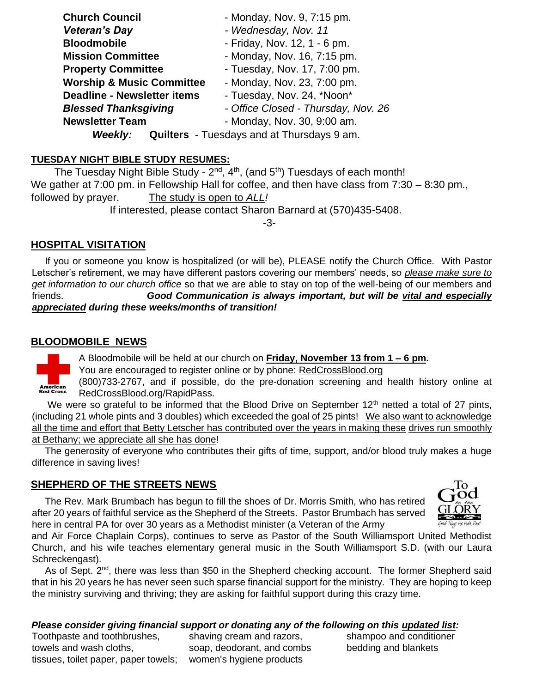| <b>Church Council</b>                | - Monday, Nov. 9, 7:15 pm.                        |
|--------------------------------------|---------------------------------------------------|
| <b>Veteran's Day</b>                 | - Wednesday, Nov. 11                              |
| <b>Bloodmobile</b>                   | - Friday, Nov. 12, 1 - 6 pm.                      |
| <b>Mission Committee</b>             | - Monday, Nov. 16, 7:15 pm.                       |
| <b>Property Committee</b>            | - Tuesday, Nov. 17, 7:00 pm.                      |
| <b>Worship &amp; Music Committee</b> | - Monday, Nov. 23, 7:00 pm.                       |
| <b>Deadline - Newsletter items</b>   | - Tuesday, Nov. 24, *Noon*                        |
| <b>Blessed Thanksgiving</b>          | - Office Closed - Thursday, Nov. 26               |
| <b>Newsletter Team</b>               | - Monday, Nov. 30, 9:00 am.                       |
| <b>Weekly:</b>                       | <b>Quilters</b> - Tuesdays and at Thursdays 9 am. |

### **TUESDAY NIGHT BIBLE STUDY RESUMES:**

The Tuesday Night Bible Study - 2<sup>nd</sup>, 4<sup>th</sup>, (and 5<sup>th</sup>) Tuesdays of each month! We gather at 7:00 pm. in Fellowship Hall for coffee, and then have class from 7:30 – 8:30 pm., followed by prayer. The study is open to *ALL!*  If interested, please contact Sharon Barnard at (570)435-5408.

-3-

# **HOSPITAL VISITATION**

 If you or someone you know is hospitalized (or will be), PLEASE notify the Church Office. With Pastor Letscher's retirement, we may have different pastors covering our members' needs, so *please make sure to get information to our church office* so that we are able to stay on top of the well-being of our members and friends. *Good Communication is always important, but will be vital and especially appreciated during these weeks/months of transition!* 

# **BLOODMOBILE NEWS**

**American**<br>Red Cross

A Bloodmobile will be held at our church on **Friday, November 13 from 1 – 6 pm.** 

You are encouraged to register online or by phone: RedCrossBlood.org

(800)733-2767, and if possible, do the pre-donation screening and health history online at RedCrossBlood.org/RapidPass.

We were so grateful to be informed that the Blood Drive on September  $12<sup>th</sup>$  netted a total of 27 pints, (including 21 whole pints and 3 doubles) which exceeded the goal of 25 pints! We also want to acknowledge all the time and effort that Betty Letscher has contributed over the years in making these drives run smoothly at Bethany; we appreciate all she has done!

 The generosity of everyone who contributes their gifts of time, support, and/or blood truly makes a huge difference in saving lives!

# **SHEPHERD OF THE STREETS NEWS**

 The Rev. Mark Brumbach has begun to fill the shoes of Dr. Morris Smith, who has retired after 20 years of faithful service as the Shepherd of the Streets. Pastor Brumbach has served here in central PA for over 30 years as a Methodist minister (a Veteran of the Army



and Air Force Chaplain Corps), continues to serve as Pastor of the South Williamsport United Methodist Church, and his wife teaches elementary general music in the South Williamsport S.D. (with our Laura Schreckengast).

As of Sept. 2<sup>nd</sup>, there was less than \$50 in the Shepherd checking account. The former Shepherd said that in his 20 years he has never seen such sparse financial support for the ministry. They are hoping to keep the ministry surviving and thriving; they are asking for faithful support during this crazy time.

# *Please consider giving financial support or donating any of the following on this updated list:*

Toothpaste and toothbrushes, shaving cream and razors, shampoo and conditioner towels and wash cloths, soap, deodorant, and combs bedding and blankets tissues, toilet paper, paper towels; women's hygiene products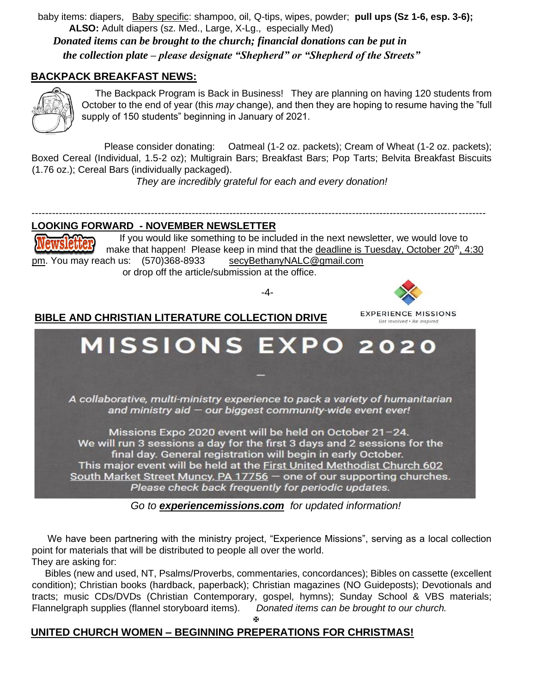baby items: diapers, Baby specific: shampoo, oil, Q-tips, wipes, powder; **pull ups (Sz 1-6, esp. 3-6); ALSO:** Adult diapers (sz. Med., Large, X-Lg., especially Med) *Donated items can be brought to the church; financial donations can be put in the collection plate – please designate "Shepherd" or "Shepherd of the Streets"* 

**BACKPACK BREAKFAST NEWS:**



 The Backpack Program is Back in Business! They are planning on having 120 students from October to the end of year (this *may* change), and then they are hoping to resume having the "full supply of 150 students" beginning in January of 2021.

 Please consider donating: Oatmeal (1-2 oz. packets); Cream of Wheat (1-2 oz. packets); Boxed Cereal (Individual, 1.5-2 oz); Multigrain Bars; Breakfast Bars; Pop Tarts; Belvita Breakfast Biscuits (1.76 oz.); Cereal Bars (individually packaged).

 *They are incredibly grateful for each and every donation!* 

# **LOOKING FORWARD - NOVEMBER NEWSLETTER**

 If you would like something to be included in the next newsletter, we would love to make that happen! Please keep in mind that the deadline is Tuesday, October  $20<sup>th</sup>$ , 4:30 pm. You may reach us: (570)368-8933 secyBethanyNALC@gmail.com or drop off the article/submission at the office.

-------------------------------------------------------------------------------------------------------------------------------------

-4-

**EXPERIENCE MISSIONS** Get Involved . Be Inspired

# **BIBLE AND CHRISTIAN LITERATURE COLLECTION DRIVE**



*Go to experiencemissions.com for updated information!*

 We have been partnering with the ministry project, "Experience Missions", serving as a local collection point for materials that will be distributed to people all over the world. They are asking for:

 Bibles (new and used, NT, Psalms/Proverbs, commentaries, concordances); Bibles on cassette (excellent condition); Christian books (hardback, paperback); Christian magazines (NO Guideposts); Devotionals and tracts; music CDs/DVDs (Christian Contemporary, gospel, hymns); Sunday School & VBS materials; Flannelgraph supplies (flannel storyboard items). *Donated items can be brought to our church.* 

#### Ŧ

# **UNITED CHURCH WOMEN – BEGINNING PREPERATIONS FOR CHRISTMAS!**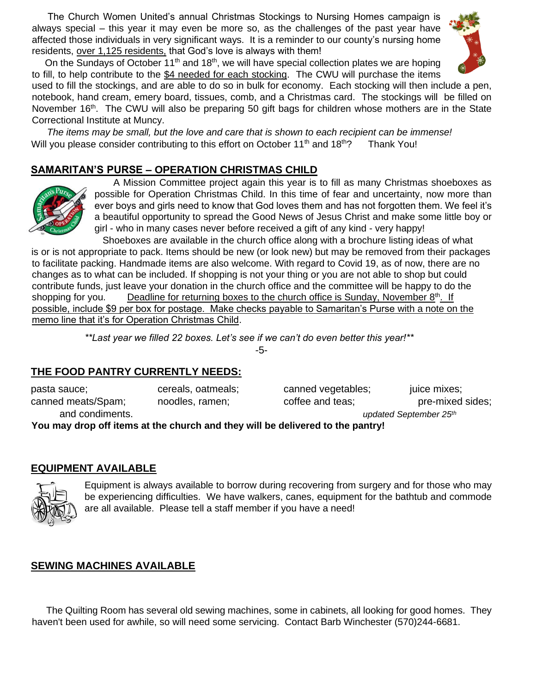The Church Women United's annual Christmas Stockings to Nursing Homes campaign is always special – this year it may even be more so, as the challenges of the past year have affected those individuals in very significant ways. It is a reminder to our county's nursing home residents, over 1,125 residents, that God's love is always with them!



On the Sundays of October 11<sup>th</sup> and 18<sup>th</sup>, we will have special collection plates we are hoping to fill, to help contribute to the \$4 needed for each stocking. The CWU will purchase the items

used to fill the stockings, and are able to do so in bulk for economy. Each stocking will then include a pen, notebook, hand cream, emery board, tissues, comb, and a Christmas card. The stockings will be filled on November  $16<sup>th</sup>$ . The CWU will also be preparing 50 gift bags for children whose mothers are in the State Correctional Institute at Muncy.

 *The items may be small, but the love and care that is shown to each recipient can be immense!*  Will you please consider contributing to this effort on October 11<sup>th</sup> and 18<sup>th</sup>? Thank You!

# **SAMARITAN'S PURSE – OPERATION CHRISTMAS CHILD**



 A Mission Committee project again this year is to fill as many Christmas shoeboxes as possible for Operation Christmas Child. In this time of fear and uncertainty, now more than ever boys and girls need to know that God loves them and has not forgotten them. We feel it's a beautiful opportunity to spread the Good News of Jesus Christ and make some little boy or girl - who in many cases never before received a gift of any kind - very happy!

 Shoeboxes are available in the church office along with a brochure listing ideas of what is or is not appropriate to pack. Items should be new (or look new) but may be removed from their packages to facilitate packing. Handmade items are also welcome. With regard to Covid 19, as of now, there are no changes as to what can be included. If shopping is not your thing or you are not able to shop but could contribute funds, just leave your donation in the church office and the committee will be happy to do the shopping for you. Deadline for returning boxes to the church office is Sunday, November  $8<sup>th</sup>$ . If possible, include \$9 per box for postage. Make checks payable to Samaritan's Purse with a note on the memo line that it's for Operation Christmas Child.

> *\*\*Last year we filled 22 boxes. Let's see if we can't do even better this year!\*\**  -5-

# **THE FOOD PANTRY CURRENTLY NEEDS:**

| pasta sauce;                                                                   | cereals, oatmeals; | canned vegetables; | juice mixes;                       |  |  |  |
|--------------------------------------------------------------------------------|--------------------|--------------------|------------------------------------|--|--|--|
| canned meats/Spam;                                                             | noodles, ramen;    | coffee and teas;   | pre-mixed sides;                   |  |  |  |
| and condiments.                                                                |                    |                    | updated September 25 <sup>th</sup> |  |  |  |
| You may drop off items at the church and they will be delivered to the pantryl |                    |                    |                                    |  |  |  |

**p** off items at the church and they will be delivered to the pantry!

### **EQUIPMENT AVAILABLE**



Equipment is always available to borrow during recovering from surgery and for those who may be experiencing difficulties. We have walkers, canes, equipment for the bathtub and commode are all available. Please tell a staff member if you have a need!

# **SEWING MACHINES AVAILABLE**

 The Quilting Room has several old sewing machines, some in cabinets, all looking for good homes. They haven't been used for awhile, so will need some servicing. Contact Barb Winchester (570)244-6681.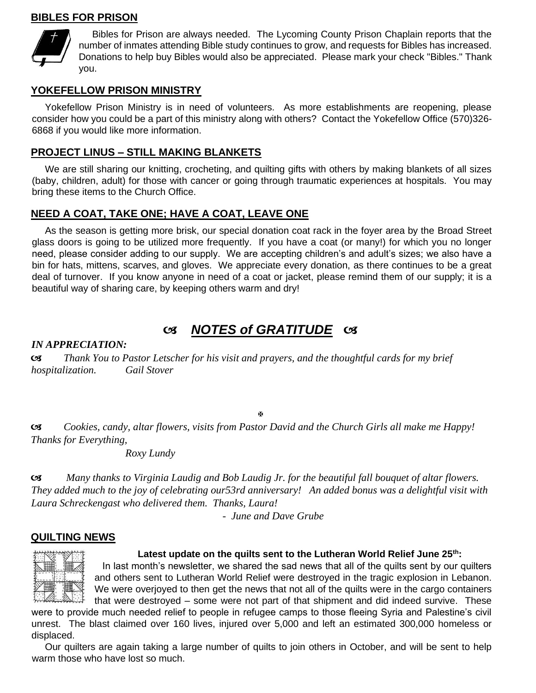### **BIBLES FOR PRISON**



 Bibles for Prison are always needed. The Lycoming County Prison Chaplain reports that the number of inmates attending Bible study continues to grow, and requests for Bibles has increased. Donations to help buy Bibles would also be appreciated. Please mark your check "Bibles." Thank you.

#### **YOKEFELLOW PRISON MINISTRY**

 Yokefellow Prison Ministry is in need of volunteers. As more establishments are reopening, please consider how you could be a part of this ministry along with others? Contact the Yokefellow Office (570)326- 6868 if you would like more information.

#### **PROJECT LINUS – STILL MAKING BLANKETS**

 We are still sharing our knitting, crocheting, and quilting gifts with others by making blankets of all sizes (baby, children, adult) for those with cancer or going through traumatic experiences at hospitals. You may bring these items to the Church Office.

### **NEED A COAT, TAKE ONE; HAVE A COAT, LEAVE ONE**

 As the season is getting more brisk, our special donation coat rack in the foyer area by the Broad Street glass doors is going to be utilized more frequently. If you have a coat (or many!) for which you no longer need, please consider adding to our supply. We are accepting children's and adult's sizes; we also have a bin for hats, mittens, scarves, and gloves. We appreciate every donation, as there continues to be a great deal of turnover. If you know anyone in need of a coat or jacket, please remind them of our supply; it is a beautiful way of sharing care, by keeping others warm and dry!

# *NOTES of GRATITUDE*

*IN APPRECIATION:* 

 *Thank You to Pastor Letscher for his visit and prayers, and the thoughtful cards for my brief hospitalization. Gail Stover*

图

 *Cookies, candy, altar flowers, visits from Pastor David and the Church Girls all make me Happy! Thanks for Everything,* 

 *Roxy Lundy* 

 *Many thanks to Virginia Laudig and Bob Laudig Jr. for the beautiful fall bouquet of altar flowers. They added much to the joy of celebrating our53rd anniversary! An added bonus was a delightful visit with Laura Schreckengast who delivered them. Thanks, Laura!* 

 *- June and Dave Grube* 

### **QUILTING NEWS**



#### **Latest update on the quilts sent to the Lutheran World Relief June 25th:**

In last month's newsletter, we shared the sad news that all of the quilts sent by our quilters and others sent to Lutheran World Relief were destroyed in the tragic explosion in Lebanon. We were overjoyed to then get the news that not all of the quilts were in the cargo containers that were destroyed – some were not part of that shipment and did indeed survive. These

were to provide much needed relief to people in refugee camps to those fleeing Syria and Palestine's civil unrest. The blast claimed over 160 lives, injured over 5,000 and left an estimated 300,000 homeless or displaced.

 Our quilters are again taking a large number of quilts to join others in October, and will be sent to help warm those who have lost so much.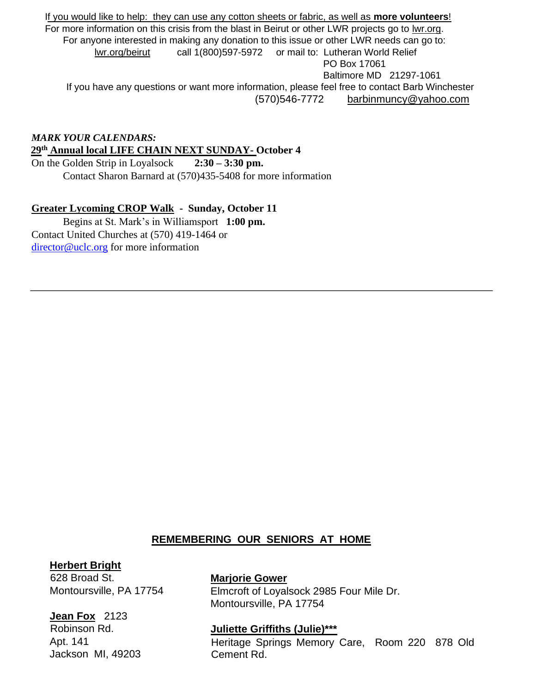If you would like to help: they can use any cotton sheets or fabric, as well as **more volunteers**! For more information on this crisis from the blast in Beirut or other LWR projects go to [lwr.org.](http://lwr.org/)  For anyone interested in making any donation to this issue or other LWR needs can go to: [lwr.org/beirut](http://lwr.org/beirut) call 1(800)597-5972 or mail to: Lutheran World Relief PO Box 17061 Baltimore MD 21297-1061 If you have any questions or want more information, please feel free to contact Barb Winchester (570)546-7772 barbinmuncy@yahoo.com

*MARK YOUR CALENDARS:*  **29th Annual local LIFE CHAIN NEXT SUNDAY- October 4**

On the Golden Strip in Loyalsock **2:30 – 3:30 pm.**  Contact Sharon Barnard at (570)435-5408 for more information

# **Greater Lycoming CROP Walk - Sunday, October 11**

Begins at St. Mark's in Williamsport **1:00 pm.**  Contact United Churches at (570) 419-1464 or director@uclc.org for more information

# **REMEMBERING OUR SENIORS AT HOME**

### **Herbert Bright**

628 Broad St. Montoursville, PA 17754

# **Jean Fox** 2123

Robinson Rd. Apt. 141 Jackson MI, 49203

### **Marjorie Gower**

Elmcroft of Loyalsock 2985 Four Mile Dr. Montoursville, PA 17754

### **Juliette Griffiths (Julie)\*\*\***

Heritage Springs Memory Care, Room 220 878 Old Cement Rd.